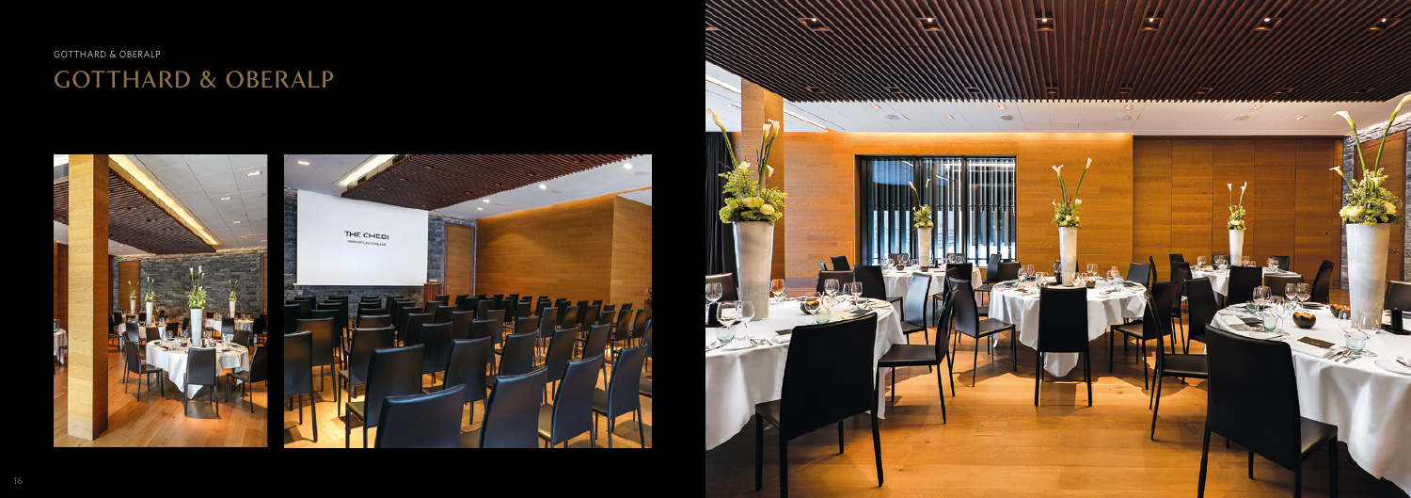GOTTHARD & OBERALP

# GOTTHARD & OBERALP



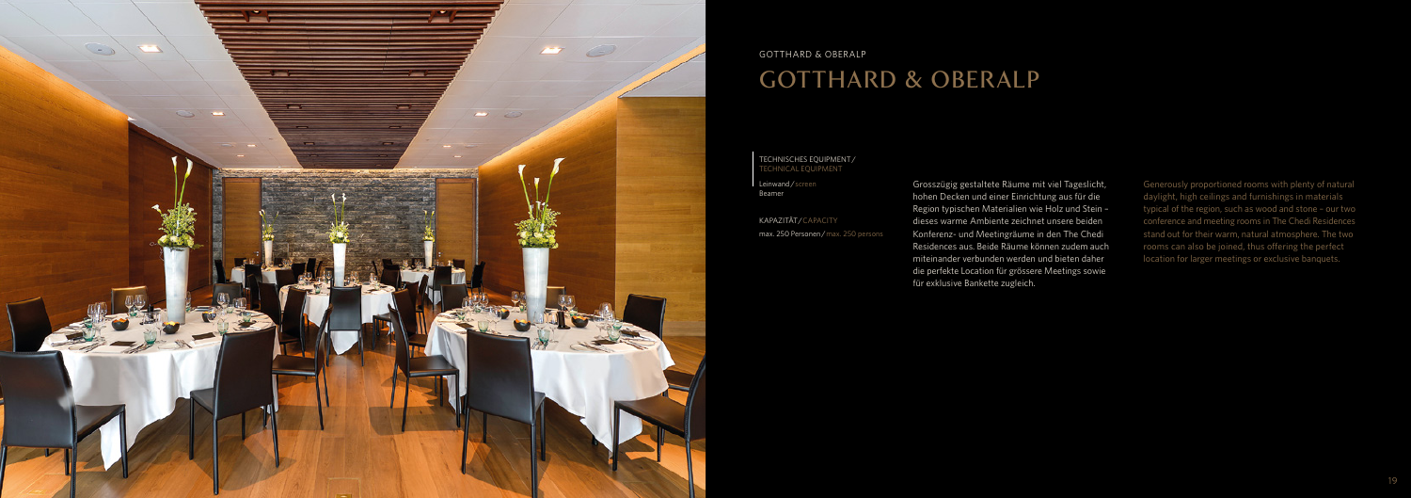

#### GOTTHARD & OBERALP

### GOTTHARD & OBERALP

Generously proportioned rooms with plenty of natural daylight, high ceilings and furnishings in materials typical of the region, such as wood and stone – our two conference and meeting rooms in The Chedi Residences stand out for their warm, natural atmosphere. The two rooms can also be joined, thus offering the perfect location for larger meetings or exclusive banquets.

Leinwand / screen Beamer

KAPAZITÄT/CAPACITY max. 250 Personen / max. 250 persons Grosszügig gestaltete Räume mit viel Tageslicht, hohen Decken und einer Einrichtung aus für die Region typischen Materialien wie Holz und Stein – dieses warme Ambiente zeichnet unsere beiden Konferenz- und Meetingräume in den The Chedi Residences aus. Beide Räume können zudem auch miteinander verbunden werden und bieten daher die perfekte Location für grössere Meetings sowie für exklusive Bankette zugleich.

#### TECHNISCHES EQUIPMENT/ TECHNICAL EQUIPMENT